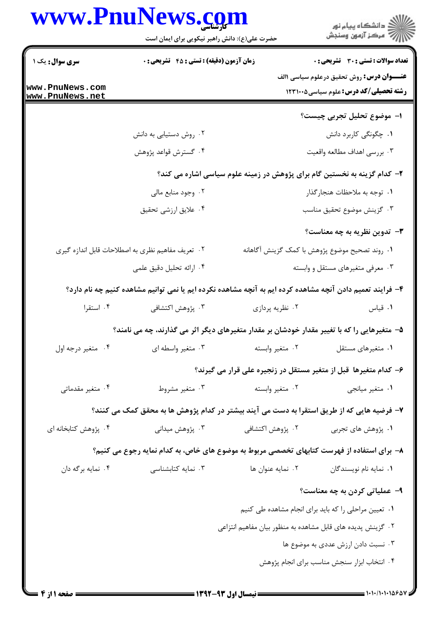|                                    | www.PnuNews.com<br>حضرت علی(ع): دانش راهبر نیکویی برای ایمان است                                          |                                                             | انشگاه پيام نور)<br>اگر مرکز آزمون وسنجش                                                         |
|------------------------------------|-----------------------------------------------------------------------------------------------------------|-------------------------------------------------------------|--------------------------------------------------------------------------------------------------|
| <b>سری سوال :</b> یک ۱             | زمان آزمون (دقیقه) : تستی : 45 آتشریحی : 0                                                                |                                                             | <b>تعداد سوالات : تستی : 30 ٪ تشریحی : 0</b><br><b>عنـــوان درس:</b> روش تحقیق درعلوم سیاسی \الف |
| www.PnuNews.com<br>www.PnuNews.net |                                                                                                           |                                                             | <b>رشته تحصیلی/کد درس:</b> علوم سیاسی1۲۳۱۰۰۵                                                     |
|                                    |                                                                                                           |                                                             | ا– موضوع تحليل تجربى چيست؟                                                                       |
|                                    | ۰۲ روش دستیابی به دانش                                                                                    |                                                             | ۰۱ چگونگی کاربرد دانش                                                                            |
|                                    | ۰۴ گسترش قواعد پژوهش                                                                                      |                                                             | ۰۳ بررسي اهداف مطالعه واقعيت                                                                     |
|                                    |                                                                                                           |                                                             | ۲- کدام گزینه به نخستین گام برای پژوهش در زمینه علوم سیاسی اشاره می کند؟                         |
|                                    | ۰۲ وجود منابع مالی                                                                                        |                                                             | ۰۱ توجه به ملاحظات هنجارگذار                                                                     |
|                                    | ۰۴ علایق ارزشی تحقیق                                                                                      |                                                             | ۰۳ گزينش موضوع تحقيق مناسب                                                                       |
|                                    |                                                                                                           |                                                             | <b>۳</b> - تدوین نظریه به چه معناست؟                                                             |
|                                    | ۰۲ تعریف مفاهیم نظری به اصطلاحات قابل اندازه گیری                                                         |                                                             | ٠١. روند تصحيح موضوع پژوهش با كمک گزينش آگاهانه                                                  |
|                                    | ۰۴ ارائه تحلیل دقیق علمی                                                                                  |                                                             | ۰۳ معرفی متغیرهای مستقل و وابسته                                                                 |
|                                    | ۴– فرایند تعمیم دادن آنچه مشاهده کرده ایم به آنچه مشاهده نکرده ایم یا نمی توانیم مشاهده کنیم چه نام دارد؟ |                                                             |                                                                                                  |
| ۰۴ استقرا                          | ۰۳ پژوهش اکتشافی                                                                                          | ۰۲ نظریه پردازی                                             | ۰۱ قیاس                                                                                          |
|                                    | ۵– متغیرهایی را که با تغییر مقدار خودشان بر مقدار متغیرهای دیگر اثر می گذارند، چه می نامند؟               |                                                             |                                                                                                  |
| ۰۴ متغیر درجه اول                  | ۰۳ متغیر واسطه ای                                                                                         | ٠٢ متغير وابسته                                             | ٠١ متغيرهاي مستقل                                                                                |
|                                    |                                                                                                           |                                                             | ۶– کدام متغیرها ًقبل از متغیر مستقل در زنجیره علی قرار می گیرند؟                                 |
| ۰۴ متغیر مقدماتی                   | ۰۳ متغیر مشروط                                                                                            | ۰۲ متغیر وابسته                                             | ۰۱ متغیر میانجی                                                                                  |
|                                    | ۷– فرضیه هایی که از طریق استقرا به دست می آیند بیشتر در کدام پژوهش ها به محقق کمک می کنند؟                |                                                             |                                                                                                  |
| ۰۴ پژوهش کتابخانه ای               | ۰۳ پژوهش میدانی                                                                                           | ۰۲ پژوهش اکتشافی                                            | ۰۱ پژوهش های تجربی                                                                               |
|                                    | ۸– برای استفاده از فهرست کتابهای تخصصی مربوط به موضوع های خاص، به کدام نمایه رجوع می کنیم؟                |                                                             |                                                                                                  |
| ۰۴ نمایه برگه دان                  | ۰۳ نمایه کتابشناسی                                                                                        | ٠٢ نمايه عنوان ها                                           | ۰۱ نمایه نام نویسندگان                                                                           |
|                                    |                                                                                                           |                                                             | ۹- عملیاتی کردن به چه معناست؟                                                                    |
|                                    |                                                                                                           |                                                             | ٠١ تعيين مراحلي را كه بايد براي انجام مشاهده طي كنيم                                             |
|                                    |                                                                                                           | ۰۲ گزینش پدیده های قابل مشاهده به منظور بیان مفاهیم انتزاعی |                                                                                                  |
|                                    |                                                                                                           |                                                             | ۰۳ نسبت دادن ارزش عددی به موضوع ها                                                               |
|                                    |                                                                                                           |                                                             | ۰۴ انتخاب ابزار سنجش مناسب براى انجام پژوهش                                                      |
|                                    |                                                                                                           |                                                             |                                                                                                  |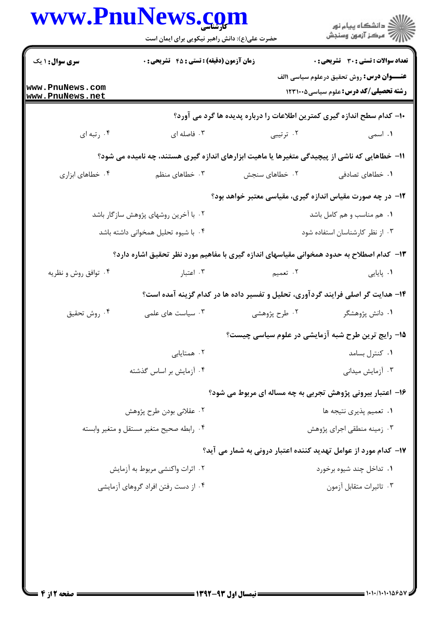|                                    | www.PnuNews.com<br>حضرت علی(ع): دانش راهبر نیکویی برای ایمان است                              |                                                                                 | ر<br>دانشڪاه پيام نور)<br>اڳ مرڪز آزمون وسنڊش                                                            |
|------------------------------------|-----------------------------------------------------------------------------------------------|---------------------------------------------------------------------------------|----------------------------------------------------------------------------------------------------------|
| <b>سری سوال :</b> ۱ یک             | زمان آزمون (دقیقه) : تستی : 45 آتشریحی : 0                                                    |                                                                                 | <b>تعداد سوالات : تستی : 30 ٪ تشریحی : 0</b>                                                             |
| www.PnuNews.com<br>www.PnuNews.net |                                                                                               |                                                                                 | <b>عنـــوان درس:</b> روش تحقیق درعلوم سیاسی <b>۱</b> الف<br><b>رشته تحصیلی/کد درس:</b> علوم سیاسی1۲۳۱۰۰۵ |
|                                    |                                                                                               | ∙ا− کدام سطح اندازه گیری کمترین اطلاعات را درباره پدیده ها گرد می آورد؟         |                                                                                                          |
| ۰۴ رتبه ای                         | ۰۳ فاصله ای                                                                                   | ۰۲ ترتیبی                                                                       | ۰۱ اسمی                                                                                                  |
|                                    | 11– خطاهایی که ناشی از پیچیدگی متغیرها یا ماهیت ابزارهای اندازه گیری هستند، چه نامیده می شود؟ |                                                                                 |                                                                                                          |
| ۰۴ خطاهای ابزاری                   | ۰۳ خطاهای منظم                                                                                | ۰۲ خطاهای سنجش                                                                  | ۰۱ خطاهای تصادفی                                                                                         |
|                                    |                                                                                               | ۱۲– در چه صورت مقیاس اندازه گیری، مقیاسی معتبر خواهد بود؟                       |                                                                                                          |
|                                    | ۰۲ با آخرین روشهای پژوهش سازگار باشد                                                          | ۰۱ هم مناسب و هم کامل باشد                                                      |                                                                                                          |
|                                    | ۰۴ با شیوه تحلیل همخوانی داشته باشد                                                           |                                                                                 | ۰۳ از نظر کارشناسان استفاده شود                                                                          |
|                                    | ۱۳– کدام اصطلاح به حدود همخوانی مقیاسهای اندازه گیری با مفاهیم مورد نظر تحقیق اشاره دارد؟     |                                                                                 |                                                                                                          |
| ۰۴ توافق روش و نظریه               | ۰۳ اعتبار                                                                                     | ۲. تعمیم                                                                        | <b>۱.</b> پایایی                                                                                         |
|                                    |                                                                                               | ۱۴- هدایت گر اصلی فرایند گردآوری، تحلیل و تفسیر داده ها در کدام گزینه آمده است؟ |                                                                                                          |
| ۰۴ روش تحقيق                       | ۰۳ سیاست های علمی                                                                             | ۰۲ طرح پژوهشی                                                                   | ۰۱ دانش پژوهشگر                                                                                          |
|                                    |                                                                                               | ۱۵− رایج ترین طرح شبه آزمایشی در علوم سیاسی چیست؟                               |                                                                                                          |
|                                    | ۰۲ همتایابی                                                                                   |                                                                                 | ٠١ كنترل بسامد                                                                                           |
|                                    | ۰۴ آزمایش بر اساس گذشته                                                                       |                                                                                 | ۰۳ آزمایش میدانی                                                                                         |
|                                    |                                                                                               | ۱۶- اعتبار بیرونی پژوهش تجربی به چه مساله ای مربوط می شود؟                      |                                                                                                          |
|                                    | ۰۲ عقلاني بودن طرح پژوهش                                                                      | ۰۱ تعمیم پذیری نتیجه ها                                                         |                                                                                                          |
|                                    | ۰۴ رابطه صحيح متغير مستقل و متغير وابسته                                                      |                                                                                 | ۰۳ زمینه منطقی اجرای پژوهش                                                                               |
|                                    |                                                                                               | ۱۷– کدام مورد از عوامل تهدید کننده اعتبار درونی به شمار می آید؟                 |                                                                                                          |
|                                    | ۰۲ اثرات واکنشی مربوط به آزمایش                                                               |                                                                                 | ۰۱ تداخل چند شیوه برخورد                                                                                 |
|                                    | ۰۴ از دست رفتن افراد گروهای آزمایشی                                                           |                                                                                 | ۰۳ تاثيرات متقابل آزمون                                                                                  |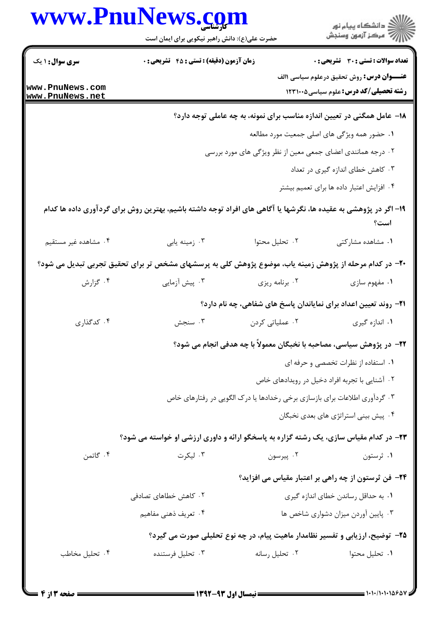|                                    | حضرت علی(ع): دانش راهبر نیکویی برای ایمان است                                                                   |                                                                               | ڪ دانشڪاه پيام نور<br>ر∕ = سڪز آزمون وسنڊش                                                                |  |
|------------------------------------|-----------------------------------------------------------------------------------------------------------------|-------------------------------------------------------------------------------|-----------------------------------------------------------------------------------------------------------|--|
| <b>سری سوال : ۱ یک</b>             | <b>زمان آزمون (دقیقه) : تستی : 45 تشریحی : 0</b>                                                                |                                                                               | <b>تعداد سوالات : تستی : 30 ٪ تشریحی : 0</b>                                                              |  |
| www.PnuNews.com<br>www.PnuNews.net |                                                                                                                 |                                                                               | <b>عنـــوان درس:</b> روش تحقیق درعلوم سیاسی <b>۱</b> الف<br><b>رشته تحصیلی/کد درس:</b> علوم سیاسی5۲۳۱۰۰ ک |  |
|                                    |                                                                                                                 | 1۸- عامل همگنی در تعیین اندازه مناسب برای نمونه، به چه عاملی توجه دارد؟       |                                                                                                           |  |
|                                    |                                                                                                                 |                                                                               | ۰۱ حضور همه ویژگی های اصلی جمعیت مورد مطالعه                                                              |  |
|                                    |                                                                                                                 | ۲ . درجه همانندی اعضای جمعی معین از نظر ویژگی های مورد بررسی                  |                                                                                                           |  |
|                                    | ۰۳ کاهش خطای اندازه گیری در تعداد                                                                               |                                                                               |                                                                                                           |  |
|                                    |                                                                                                                 |                                                                               | ۰۴ افزایش اعتبار داده ها برای تعمیم بیشتر                                                                 |  |
|                                    | ۱۹– اگر در پژوهشی به عقیده ها، نگرشها یا آگاهی های افراد توجه داشته باشیم، بهترین روش برای گردآوری داده ها کدام |                                                                               | است؟                                                                                                      |  |
| ۰۴ مشاهده غیر مستقیم               | ۰۳ زمینه یابی                                                                                                   | ٠٢ تحليل محتوا                                                                | ۰۱ مشاهده مشاركتى                                                                                         |  |
|                                    | +۲- در کدام مرحله از پژوهش زمینه یاب، موضوع پژوهش کلی به پرسشهای مشخص تر برای تحقیق تجربی تبدیل می شود؟         |                                                                               |                                                                                                           |  |
| ۰۴ گزارش                           | ۰۳ پیش آزمایی                                                                                                   | ۰۲ برنامه ریزی                                                                | ۰۱ مفهوم سازی                                                                                             |  |
|                                    |                                                                                                                 | <b>۲۱</b> - روند تعیین اعداد برای نمایاندان پاسخ های شفاهی، چه نام دارد؟      |                                                                                                           |  |
| ۰۴ کدگذاری                         | ۰۳ سنجش                                                                                                         | ۰۲ عملیاتی کردن                                                               | ۰۱ اندازه گیری                                                                                            |  |
|                                    | ۲۲- در پژوهش سیاسی، مصاحبه با نخبگان معمولاً با چه هدفی انجام می شود؟                                           |                                                                               |                                                                                                           |  |
|                                    |                                                                                                                 |                                                                               | ٠١ استفاده از نظرات تخصصي و حرفه اي                                                                       |  |
|                                    |                                                                                                                 |                                                                               | ۰۲ آشنایی با تجربه افراد دخیل در رویدادهای خاص                                                            |  |
|                                    | ۰۳ گردآوری اطلاعات برای بازسازی برخی رخدادها یا درک الگویی در رفتارهای خاص                                      |                                                                               |                                                                                                           |  |
|                                    |                                                                                                                 |                                                                               | ۰۴ پیش بینی استراتژی های بعدی نخبگان                                                                      |  |
|                                    | ۲۳- در کدام مقیاس سازی، یک رشته گزاره به پاسخگو ارائه و داوری ارزشی او خواسته می شود؟                           |                                                                               |                                                                                                           |  |
| ۰۴ گاتمن                           | ۰۳ لیکرت                                                                                                        | ۰۲ پیرسون                                                                     | ۰۱ ثرستون                                                                                                 |  |
|                                    |                                                                                                                 |                                                                               | ۲۴- فن ثرستون از چه راهی بر اعتبار مقیاس می افزاید؟                                                       |  |
|                                    | ٠١. به حداقل رساندن خطاي اندازه گيري<br>۰۲ کاهش خطاهای تصادفی                                                   |                                                                               |                                                                                                           |  |
|                                    | ۰۴ تعریف ذهنی مفاهیم                                                                                            |                                                                               | ۰۳ پایین آوردن میزان دشواری شاخص ها                                                                       |  |
|                                    |                                                                                                                 | ۲۵- توضیح، ارزیابی و تفسیر نظامدار ماهیت پیام، در چه نوع تحلیلی صورت می گیرد؟ |                                                                                                           |  |
| ۰۴ تحليل مخاطب                     | ۰۳ تحلیل فرستنده                                                                                                | ٠٢ تحليل رسانه                                                                | ٠١. تحليل محتوا                                                                                           |  |